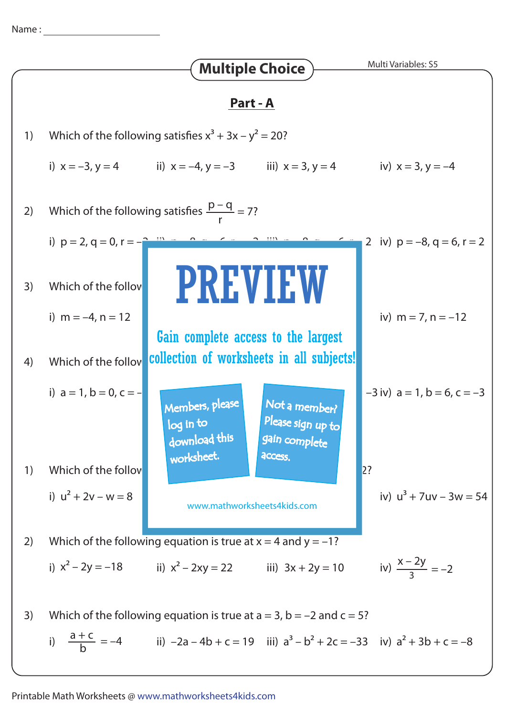